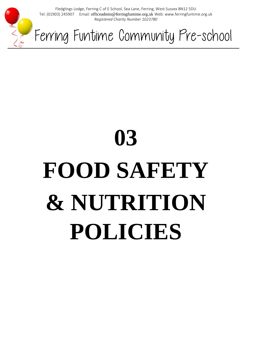

Fledglings Lodge, Ferring C of E School, Sea Lane, Ferring, West Sussex BN12 5DU Tel: (01903) 245907 Email: officeadmin@ferringfuntime.org.uk Web: www.ferringfuntime.org.uk *Registered Charity Number 1023780*

Ferring Funtime Community Pre-school

# **03 FOOD SAFETY & NUTRITION POLICIES**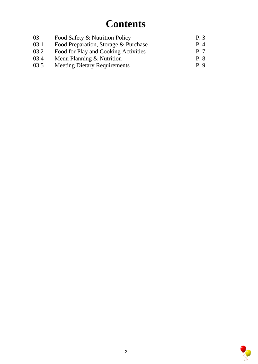# **Contents**

| 03   | Food Safety & Nutrition Policy       | P. 3          |
|------|--------------------------------------|---------------|
| 03.1 | Food Preparation, Storage & Purchase | P. 4          |
| 03.2 | Food for Play and Cooking Activities | P. 7          |
| 03.4 | Menu Planning $&$ Nutrition          | P. 8          |
| 03.5 | <b>Meeting Dietary Requirements</b>  | $P_{\perp}$ 9 |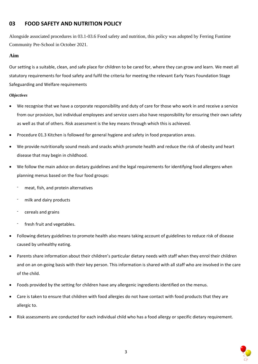## **03 FOOD SAFETY AND NUTRITION POLICY**

Alongside associated procedures in 03.1-03.6 Food safety and nutrition, this policy was adopted by Ferring Funtime Community Pre-School in October 2021.

#### **Aim**

Our setting is a suitable, clean, and safe place for children to be cared for, where they can grow and learn. We meet all statutory requirements for food safety and fulfil the criteria for meeting the relevant Early Years Foundation Stage Safeguarding and Welfare requirements

#### *Objectives*

- We recognise that we have a corporate responsibility and duty of care for those who work in and receive a service from our provision, but individual employees and service users also have responsibility for ensuring their own safety as well as that of others. Risk assessment is the key means through which this is achieved.
- Procedure 01.3 Kitchen is followed for general hygiene and safety in food preparation areas.
- We provide nutritionally sound meals and snacks which promote health and reduce the risk of obesity and heart disease that may begin in childhood.
- We follow the main advice on dietary guidelines and the legal requirements for identifying food allergens when planning menus based on the four food groups:
	- meat, fish, and protein alternatives
	- milk and dairy products
	- cereals and grains
	- fresh fruit and vegetables.
- Following dietary guidelines to promote health also means taking account of guidelines to reduce risk of disease caused by unhealthy eating.
- Parents share information about their children's particular dietary needs with staff when they enrol their children and on an on-going basis with their key person. This information is shared with all staff who are involved in the care of the child.
- Foods provided by the setting for children have any allergenic ingredients identified on the menus.
- Care is taken to ensure that children with food allergies do not have contact with food products that they are allergic to.
- Risk assessments are conducted for each individual child who has a food allergy or specific dietary requirement.

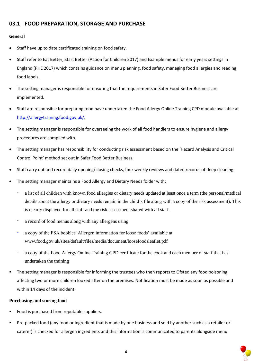### **03.1 FOOD PREPARATION, STORAGE AND PURCHASE**

#### **General**

- Staff have up to date certificated training on food safety.
- Staff refer to Eat Better, Start Better (Action for Children 2017) and Example menus for early years settings in England (PHE 2017) which contains guidance on menu planning, food safety, managing food allergies and reading food labels.
- The setting manager is responsible for ensuring that the requirements in Safer Food Better Business are implemented.
- Staff are responsible for preparing food have undertaken the Food Allergy Online Training CPD module available at [http://allergytraining.food.gov.uk/.](http://allergytraining.food.gov.uk/)
- The setting manager is responsible for overseeing the work of all food handlers to ensure hygiene and allergy procedures are complied with.
- The setting manager has responsibility for conducting risk assessment based on the 'Hazard Analysis and Critical Control Point' method set out in Safer Food Better Business.
- Staff carry out and record daily opening/closing checks, four weekly reviews and dated records of deep cleaning.
- The setting manager maintains a Food Allergy and Dietary Needs folder with:
	- a list of all children with known food allergies or dietary needs updated at least once a term (the personal/medical details about the allergy or dietary needs remain in the child's file along with a copy of the risk assessment). This is clearly displayed for all staff and the risk assessment shared with all staff.
	- a record of food menus along with any allergens using
	- a copy of the FSA booklet 'Allergen information for loose foods' available at www.food.gov.uk/sites/default/files/media/document/loosefoodsleaflet.pdf
	- a copy of the Food Allergy Online Training CPD certificate for the cook and each member of staff that has undertaken the training
- The setting manager is responsible for informing the trustees who then reports to Ofsted any food poisoning affecting two or more children looked after on the premises. Notification must be made as soon as possible and within 14 days of the incident.

#### **Purchasing and storing food**

- Food is purchased from reputable suppliers.
- Pre-packed food (any food or ingredient that is made by one business and sold by another such as a retailer or caterer) is checked for allergen ingredients and this information is communicated to parents alongside menu

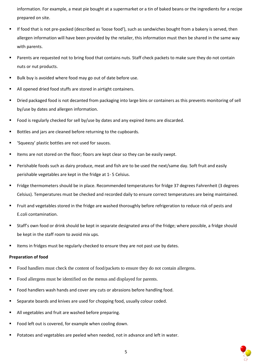information. For example, a meat pie bought at a supermarket or a tin of baked beans or the ingredients for a recipe prepared on site.

- If food that is not pre-packed (described as 'loose food'), such as sandwiches bought from a bakery is served, then allergen information will have been provided by the retailer, this information must then be shared in the same way with parents.
- Parents are requested not to bring food that contains nuts. Staff check packets to make sure they do not contain nuts or nut products.
- Bulk buy is avoided where food may go out of date before use.
- All opened dried food stuffs are stored in airtight containers.
- Dried packaged food is not decanted from packaging into large bins or containers as this prevents monitoring of sell by/use by dates and allergen information.
- Food is regularly checked for sell by/use by dates and any expired items are discarded.
- Bottles and jars are cleaned before returning to the cupboards.
- 'Squeezy' plastic bottles are not used for sauces.
- Items are not stored on the floor; floors are kept clear so they can be easily swept.
- Perishable foods such as dairy produce, meat and fish are to be used the next/same day. Soft fruit and easily perishable vegetables are kept in the fridge at 1- 5 Celsius.
- Fridge thermometers should be in place. Recommended temperatures for fridge 37 degrees Fahrenheit (3 degrees Celsius). Temperatures must be checked and recorded daily to ensure correct temperatures are being maintained.
- Fruit and vegetables stored in the fridge are washed thoroughly before refrigeration to reduce risk of pests and E.coli contamination.
- Staff's own food or drink should be kept in separate designated area of the fridge; where possible, a fridge should be kept in the staff room to avoid mix ups.
- Items in fridges must be regularly checked to ensure they are not past use by dates.

#### **Preparation of food**

- Food handlers must check the content of food/packets to ensure they do not contain allergens.
- Food allergens must be identified on the menus and displayed for parents.
- Food handlers wash hands and cover any cuts or abrasions before handling food.
- Separate boards and knives are used for chopping food, usually colour coded.
- All vegetables and fruit are washed before preparing.
- Food left out is covered, for example when cooling down.
- Potatoes and vegetables are peeled when needed, not in advance and left in water.

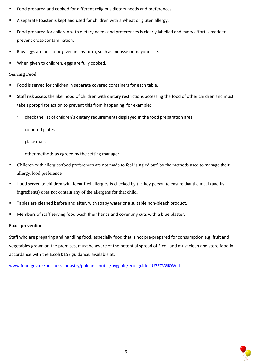- Food prepared and cooked for different religious dietary needs and preferences.
- A separate toaster is kept and used for children with a wheat or gluten allergy.
- Food prepared for children with dietary needs and preferences is clearly labelled and every effort is made to prevent cross-contamination.
- Raw eggs are not to be given in any form, such as mousse or mayonnaise.
- When given to children, eggs are fully cooked.

#### **Serving Food**

- Food is served for children in separate covered containers for each table.
- Staff risk assess the likelihood of children with dietary restrictions accessing the food of other children and must take appropriate action to prevent this from happening, for example:
	- check the list of children's dietary requirements displayed in the food preparation area
	- coloured plates
	- place mats
	- other methods as agreed by the setting manager
- Children with allergies/food preferences are not made to feel 'singled out' by the methods used to manage their allergy/food preference.
- Food served to children with identified allergies is checked by the key person to ensure that the meal (and its ingredients) does not contain any of the allergens for that child.
- **■** Tables are cleaned before and after, with soapy water or a suitable non-bleach product.
- Members of staff serving food wash their hands and cover any cuts with a blue plaster.

#### **E.coli prevention**

Staff who are preparing and handling food, especially food that is not pre-prepared for consumption e.g. fruit and vegetables grown on the premises, must be aware of the potential spread of E.coli and must clean and store food in accordance with the E.coli 0157 guidance, available at:

[www.food.gov.uk/business-industry/guidancenotes/hygguid/ecoliguide#.U7FCVGlOWdI](https://preschoolla.sharepoint.com/sites/COMM/Shared%20Documents/Pubs/Pubs%20Print%20Promo/Pub%20Drafts/A026%20Policies%20&%20Procedures%20for%20the%20EYFS%202021/A026%20FINAL/www.food.gov.uk/business-industry/guidancenotes/hygguid/ecoliguide#.U7FCVGlOWdI)

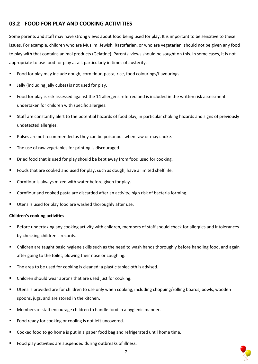# **03.2 FOOD FOR PLAY AND COOKING ACTIVITIES**

Some parents and staff may have strong views about food being used for play. It is important to be sensitive to these issues. For example, children who are Muslim, Jewish, Rastafarian, or who are vegetarian, should not be given any food to play with that contains animal products (Gelatine). Parents' views should be sought on this. In some cases, it is not appropriate to use food for play at all, particularly in times of austerity.

- Food for play may include dough, corn flour, pasta, rice, food colourings/flavourings.
- Jelly (including jelly cubes) is not used for play.
- Food for play is risk assessed against the 14 allergens referred and is included in the written risk assessment undertaken for children with specific allergies.
- Staff are constantly alert to the potential hazards of food play, in particular choking hazards and signs of previously undetected allergies.
- Pulses are not recommended as they can be poisonous when raw or may choke.
- The use of raw vegetables for printing is discouraged.
- Dried food that is used for play should be kept away from food used for cooking.
- Foods that are cooked and used for play, such as dough, have a limited shelf life.
- Cornflour is always mixed with water before given for play.
- Cornflour and cooked pasta are discarded after an activity; high risk of bacteria forming.
- Utensils used for play food are washed thoroughly after use.

#### **Children's cooking activities**

- Before undertaking any cooking activity with children, members of staff should check for allergies and intolerances by checking children's records.
- Children are taught basic hygiene skills such as the need to wash hands thoroughly before handling food, and again after going to the toilet, blowing their nose or coughing.
- The area to be used for cooking is cleaned; a plastic tablecloth is advised.
- Children should wear aprons that are used just for cooking.
- Utensils provided are for children to use only when cooking, including chopping/rolling boards, bowls, wooden spoons, jugs, and are stored in the kitchen.
- Members of staff encourage children to handle food in a hygienic manner.
- Food ready for cooking or cooling is not left uncovered.
- Cooked food to go home is put in a paper food bag and refrigerated until home time.
- Food play activities are suspended during outbreaks of illness.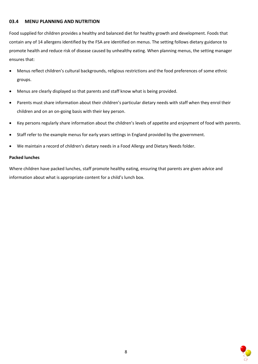#### **03.4 MENU PLANNING AND NUTRITION**

Food supplied for children provides a healthy and balanced diet for healthy growth and development. Foods that contain any of 14 allergens identified by the FSA are identified on menus. The setting follows dietary guidance to promote health and reduce risk of disease caused by unhealthy eating. When planning menus, the setting manager ensures that:

- Menus reflect children's cultural backgrounds, religious restrictions and the food preferences of some ethnic groups.
- Menus are clearly displayed so that parents and staff know what is being provided.
- Parents must share information about their children's particular dietary needs with staff when they enrol their children and on an on-going basis with their key person.
- Key persons regularly share information about the children's levels of appetite and enjoyment of food with parents.
- Staff refer to the example menus for early years settings in England provided by the government.
- We maintain a record of children's dietary needs in a Food Allergy and Dietary Needs folder.

#### **Packed lunches**

Where children have packed lunches, staff promote healthy eating, ensuring that parents are given advice and information about what is appropriate content for a child's lunch box.

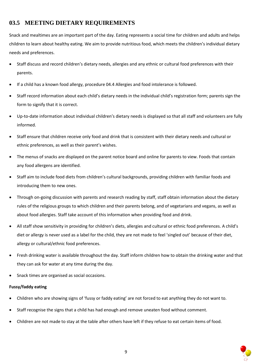# **03.5 MEETING DIETARY REQUIREMENTS**

Snack and mealtimes are an important part of the day. Eating represents a social time for children and adults and helps children to learn about healthy eating. We aim to provide nutritious food, which meets the children's individual dietary needs and preferences.

- Staff discuss and record children's dietary needs, allergies and any ethnic or cultural food preferences with their parents.
- If a child has a known food allergy, procedure 04.4 Allergies and food intolerance is followed.
- Staff record information about each child's dietary needs in the individual child's registration form; parents sign the form to signify that it is correct.
- Up-to-date information about individual children's dietary needs is displayed so that all staff and volunteers are fully informed.
- Staff ensure that children receive only food and drink that is consistent with their dietary needs and cultural or ethnic preferences, as well as their parent's wishes.
- The menus of snacks are displayed on the parent notice board and online for parents to view. Foods that contain any food allergens are identified.
- Staff aim to include food diets from children's cultural backgrounds, providing children with familiar foods and introducing them to new ones.
- Through on-going discussion with parents and research reading by staff, staff obtain information about the dietary rules of the religious groups to which children and their parents belong, and of vegetarians and vegans, as well as about food allergies. Staff take account of this information when providing food and drink.
- All staff show sensitivity in providing for children's diets, allergies and cultural or ethnic food preferences. A child's diet or allergy is never used as a label for the child, they are not made to feel 'singled out' because of their diet, allergy or cultural/ethnic food preferences.
- Fresh drinking water is available throughout the day. Staff inform children how to obtain the drinking water and that they can ask for water at any time during the day.
- Snack times are organised as social occasions.

#### **Fussy/faddy eating**

- Children who are showing signs of 'fussy or faddy eating' are not forced to eat anything they do not want to.
- Staff recognise the signs that a child has had enough and remove uneaten food without comment.
- Children are not made to stay at the table after others have left if they refuse to eat certain items of food.